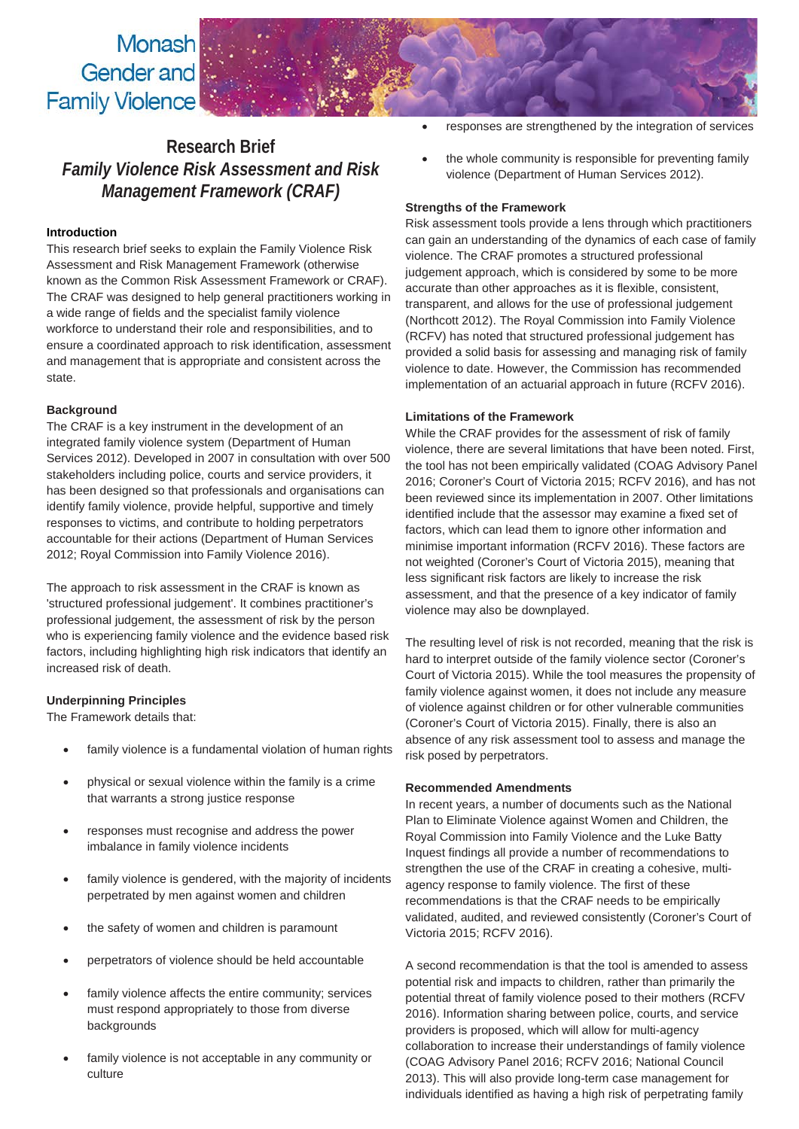# Monash Gender and **Family Violence**

# **Research Brief** *Family Violence Risk Assessment and Risk Management Framework (CRAF)*

# **Introduction**

This research brief seeks to explain the Family Violence Risk Assessment and Risk Management Framework (otherwise known as the Common Risk Assessment Framework or CRAF). The CRAF was designed to help general practitioners working in a wide range of fields and the specialist family violence workforce to understand their role and responsibilities, and to ensure a coordinated approach to risk identification, assessment and management that is appropriate and consistent across the state.

# **Background**

The CRAF is a key instrument in the development of an integrated family violence system (Department of Human Services 2012). Developed in 2007 in consultation with over 500 stakeholders including police, courts and service providers, it has been designed so that professionals and organisations can identify family violence, provide helpful, supportive and timely responses to victims, and contribute to holding perpetrators accountable for their actions (Department of Human Services 2012; Royal Commission into Family Violence 2016).

The approach to risk assessment in the CRAF is known as 'structured professional judgement'. It combines practitioner's professional judgement, the assessment of risk by the person who is experiencing family violence and the evidence based risk factors, including highlighting high risk indicators that identify an increased risk of death.

# **Underpinning Principles**

The Framework details that:

- family violence is a fundamental violation of human rights
- physical or sexual violence within the family is a crime that warrants a strong justice response
- responses must recognise and address the power imbalance in family violence incidents
- family violence is gendered, with the majority of incidents perpetrated by men against women and children
- the safety of women and children is paramount
- perpetrators of violence should be held accountable
- family violence affects the entire community; services must respond appropriately to those from diverse backgrounds
- family violence is not acceptable in any community or culture
- responses are strengthened by the integration of services
- the whole community is responsible for preventing family violence (Department of Human Services 2012).

#### **Strengths of the Framework**

Risk assessment tools provide a lens through which practitioners can gain an understanding of the dynamics of each case of family violence. The CRAF promotes a structured professional judgement approach, which is considered by some to be more accurate than other approaches as it is flexible, consistent, transparent, and allows for the use of professional judgement (Northcott 2012). The Royal Commission into Family Violence (RCFV) has noted that structured professional judgement has provided a solid basis for assessing and managing risk of family violence to date. However, the Commission has recommended implementation of an actuarial approach in future (RCFV 2016).

### **Limitations of the Framework**

While the CRAF provides for the assessment of risk of family violence, there are several limitations that have been noted. First, the tool has not been empirically validated (COAG Advisory Panel 2016; Coroner's Court of Victoria 2015; RCFV 2016), and has not been reviewed since its implementation in 2007. Other limitations identified include that the assessor may examine a fixed set of factors, which can lead them to ignore other information and minimise important information (RCFV 2016). These factors are not weighted (Coroner's Court of Victoria 2015), meaning that less significant risk factors are likely to increase the risk assessment, and that the presence of a key indicator of family violence may also be downplayed.

The resulting level of risk is not recorded, meaning that the risk is hard to interpret outside of the family violence sector (Coroner's Court of Victoria 2015). While the tool measures the propensity of family violence against women, it does not include any measure of violence against children or for other vulnerable communities (Coroner's Court of Victoria 2015). Finally, there is also an absence of any risk assessment tool to assess and manage the risk posed by perpetrators.

# **Recommended Amendments**

In recent years, a number of documents such as the National Plan to Eliminate Violence against Women and Children, the Royal Commission into Family Violence and the Luke Batty Inquest findings all provide a number of recommendations to strengthen the use of the CRAF in creating a cohesive, multiagency response to family violence. The first of these recommendations is that the CRAF needs to be empirically validated, audited, and reviewed consistently (Coroner's Court of Victoria 2015; RCFV 2016).

A second recommendation is that the tool is amended to assess potential risk and impacts to children, rather than primarily the potential threat of family violence posed to their mothers (RCFV 2016). Information sharing between police, courts, and service providers is proposed, which will allow for multi-agency collaboration to increase their understandings of family violence (COAG Advisory Panel 2016; RCFV 2016; National Council 2013). This will also provide long-term case management for individuals identified as having a high risk of perpetrating family